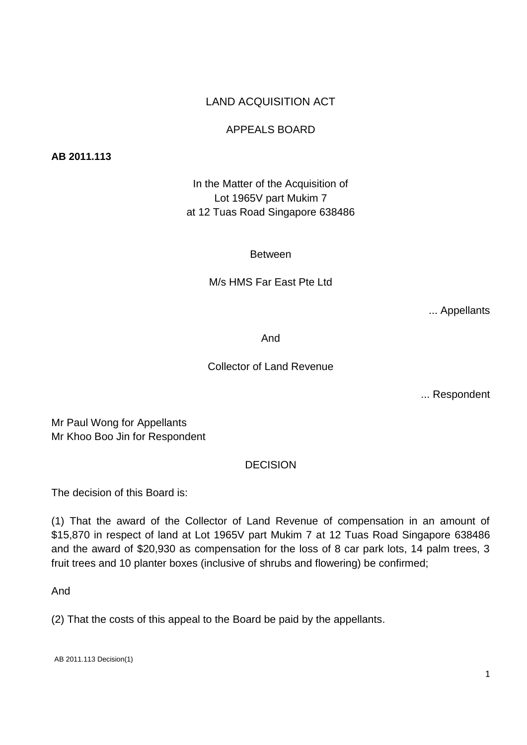# LAND ACQUISITION ACT

# APPEALS BOARD

#### **AB 2011.113**

In the Matter of the Acquisition of Lot 1965V part Mukim 7 at 12 Tuas Road Singapore 638486

Between

M/s HMS Far East Pte Ltd

... Appellants

And

# Collector of Land Revenue

... Respondent

Mr Paul Wong for Appellants Mr Khoo Boo Jin for Respondent

# DECISION

The decision of this Board is:

(1) That the award of the Collector of Land Revenue of compensation in an amount of \$15,870 in respect of land at Lot 1965V part Mukim 7 at 12 Tuas Road Singapore 638486 and the award of \$20,930 as compensation for the loss of 8 car park lots, 14 palm trees, 3 fruit trees and 10 planter boxes (inclusive of shrubs and flowering) be confirmed;

And

(2) That the costs of this appeal to the Board be paid by the appellants.

AB 2011.113 Decision(1)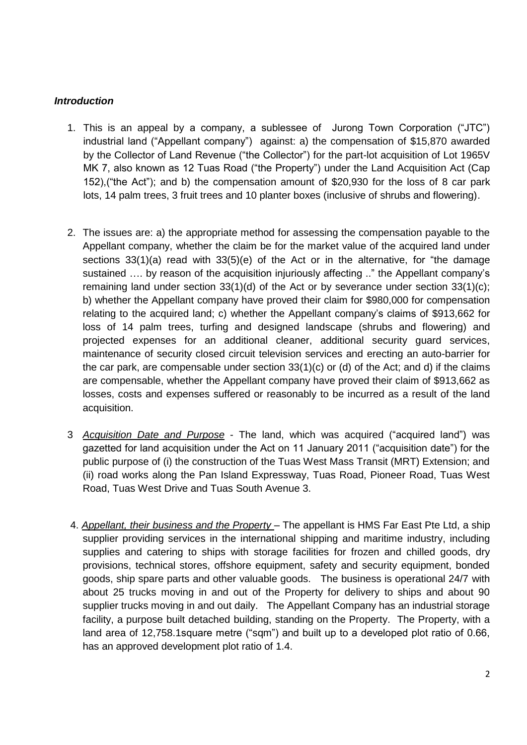### *Introduction*

- 1. This is an appeal by a company, a sublessee of Jurong Town Corporation ("JTC") industrial land ("Appellant company") against: a) the compensation of \$15,870 awarded by the Collector of Land Revenue ("the Collector") for the part-lot acquisition of Lot 1965V MK 7, also known as 12 Tuas Road ("the Property") under the Land Acquisition Act (Cap 152),("the Act"); and b) the compensation amount of \$20,930 for the loss of 8 car park lots, 14 palm trees, 3 fruit trees and 10 planter boxes (inclusive of shrubs and flowering).
- 2. The issues are: a) the appropriate method for assessing the compensation payable to the Appellant company, whether the claim be for the market value of the acquired land under sections 33(1)(a) read with 33(5)(e) of the Act or in the alternative, for "the damage sustained …. by reason of the acquisition injuriously affecting .." the Appellant company's remaining land under section 33(1)(d) of the Act or by severance under section 33(1)(c); b) whether the Appellant company have proved their claim for \$980,000 for compensation relating to the acquired land; c) whether the Appellant company's claims of \$913,662 for loss of 14 palm trees, turfing and designed landscape (shrubs and flowering) and projected expenses for an additional cleaner, additional security guard services, maintenance of security closed circuit television services and erecting an auto-barrier for the car park, are compensable under section  $33(1)(c)$  or (d) of the Act; and d) if the claims are compensable, whether the Appellant company have proved their claim of \$913,662 as losses, costs and expenses suffered or reasonably to be incurred as a result of the land acquisition.
- 3 *Acquisition Date and Purpose* The land, which was acquired ("acquired land") was gazetted for land acquisition under the Act on 11 January 2011 ("acquisition date") for the public purpose of (i) the construction of the Tuas West Mass Transit (MRT) Extension; and (ii) road works along the Pan Island Expressway, Tuas Road, Pioneer Road, Tuas West Road, Tuas West Drive and Tuas South Avenue 3.
- 4. *Appellant, their business and the Property* The appellant is HMS Far East Pte Ltd, a ship supplier providing services in the international shipping and maritime industry, including supplies and catering to ships with storage facilities for frozen and chilled goods, dry provisions, technical stores, offshore equipment, safety and security equipment, bonded goods, ship spare parts and other valuable goods. The business is operational 24/7 with about 25 trucks moving in and out of the Property for delivery to ships and about 90 supplier trucks moving in and out daily. The Appellant Company has an industrial storage facility, a purpose built detached building, standing on the Property. The Property, with a land area of 12,758.1square metre ("sqm") and built up to a developed plot ratio of 0.66, has an approved development plot ratio of 1.4.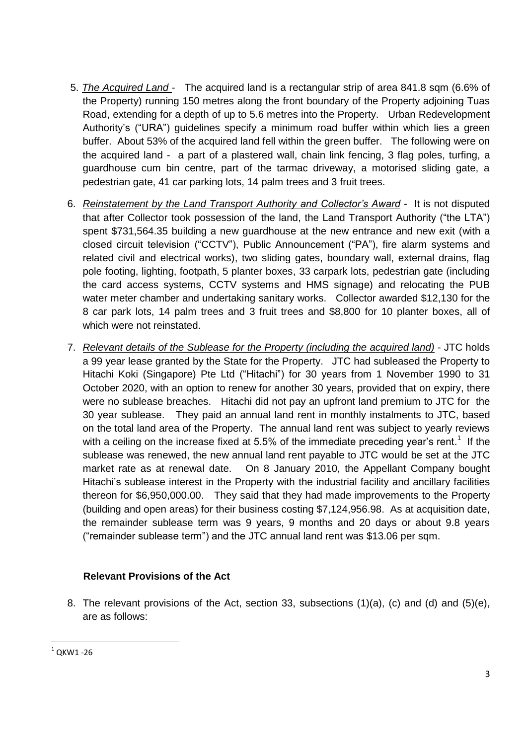- 5. *The Acquired Land* The acquired land is a rectangular strip of area 841.8 sqm (6.6% of the Property) running 150 metres along the front boundary of the Property adjoining Tuas Road, extending for a depth of up to 5.6 metres into the Property. Urban Redevelopment Authority's ("URA") guidelines specify a minimum road buffer within which lies a green buffer. About 53% of the acquired land fell within the green buffer. The following were on the acquired land - a part of a plastered wall, chain link fencing, 3 flag poles, turfing, a guardhouse cum bin centre, part of the tarmac driveway, a motorised sliding gate, a pedestrian gate, 41 car parking lots, 14 palm trees and 3 fruit trees.
- 6. *Reinstatement by the Land Transport Authority and Collector's Award* It is not disputed that after Collector took possession of the land, the Land Transport Authority ("the LTA") spent \$731,564.35 building a new guardhouse at the new entrance and new exit (with a closed circuit television ("CCTV"), Public Announcement ("PA"), fire alarm systems and related civil and electrical works), two sliding gates, boundary wall, external drains, flag pole footing, lighting, footpath, 5 planter boxes, 33 carpark lots, pedestrian gate (including the card access systems, CCTV systems and HMS signage) and relocating the PUB water meter chamber and undertaking sanitary works. Collector awarded \$12,130 for the 8 car park lots, 14 palm trees and 3 fruit trees and \$8,800 for 10 planter boxes, all of which were not reinstated.
- 7. *Relevant details of the Sublease for the Property (including the acquired land)* JTC holds a 99 year lease granted by the State for the Property. JTC had subleased the Property to Hitachi Koki (Singapore) Pte Ltd ("Hitachi") for 30 years from 1 November 1990 to 31 October 2020, with an option to renew for another 30 years, provided that on expiry, there were no sublease breaches. Hitachi did not pay an upfront land premium to JTC for the 30 year sublease. They paid an annual land rent in monthly instalments to JTC, based on the total land area of the Property. The annual land rent was subject to yearly reviews with a ceiling on the increase fixed at 5.5% of the immediate preceding year's rent.<sup>1</sup> If the sublease was renewed, the new annual land rent payable to JTC would be set at the JTC market rate as at renewal date. On 8 January 2010, the Appellant Company bought Hitachi's sublease interest in the Property with the industrial facility and ancillary facilities thereon for \$6,950,000.00. They said that they had made improvements to the Property (building and open areas) for their business costing \$7,124,956.98. As at acquisition date, the remainder sublease term was 9 years, 9 months and 20 days or about 9.8 years ("remainder sublease term") and the JTC annual land rent was \$13.06 per sqm.

#### **Relevant Provisions of the Act**

8. The relevant provisions of the Act, section 33, subsections (1)(a), (c) and (d) and (5)(e), are as follows:

 $^1$  QKW1 -26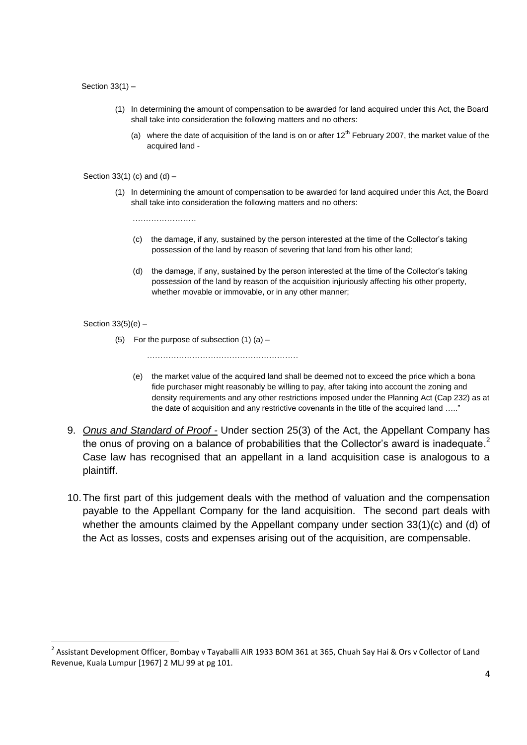Section 33(1) –

- (1) In determining the amount of compensation to be awarded for land acquired under this Act, the Board shall take into consideration the following matters and no others:
	- (a) where the date of acquisition of the land is on or after  $12<sup>th</sup>$  February 2007, the market value of the acquired land -

Section 33(1) (c) and  $(d)$  –

(1) In determining the amount of compensation to be awarded for land acquired under this Act, the Board shall take into consideration the following matters and no others:

…………………………

- (c) the damage, if any, sustained by the person interested at the time of the Collector's taking possession of the land by reason of severing that land from his other land;
- (d) the damage, if any, sustained by the person interested at the time of the Collector's taking possession of the land by reason of the acquisition injuriously affecting his other property, whether movable or immovable, or in any other manner;

Section 33(5)(e) –

- (5) For the purpose of subsection  $(1)$   $(a)$ 
	- (e) the market value of the acquired land shall be deemed not to exceed the price which a bona fide purchaser might reasonably be willing to pay, after taking into account the zoning and density requirements and any other restrictions imposed under the Planning Act (Cap 232) as at the date of acquisition and any restrictive covenants in the title of the acquired land ….."
- 9. *Onus and Standard of Proof -* Under section 25(3) of the Act, the Appellant Company has the onus of proving on a balance of probabilities that the Collector's award is inadequate.<sup>2</sup> Case law has recognised that an appellant in a land acquisition case is analogous to a plaintiff.
- 10.The first part of this judgement deals with the method of valuation and the compensation payable to the Appellant Company for the land acquisition. The second part deals with whether the amounts claimed by the Appellant company under section 33(1)(c) and (d) of the Act as losses, costs and expenses arising out of the acquisition, are compensable.

<sup>&</sup>lt;sup>2</sup> Assistant Development Officer, Bombay v Tayaballi AIR 1933 BOM 361 at 365, Chuah Say Hai & Ors v Collector of Land Revenue, Kuala Lumpur [1967] 2 MLJ 99 at pg 101.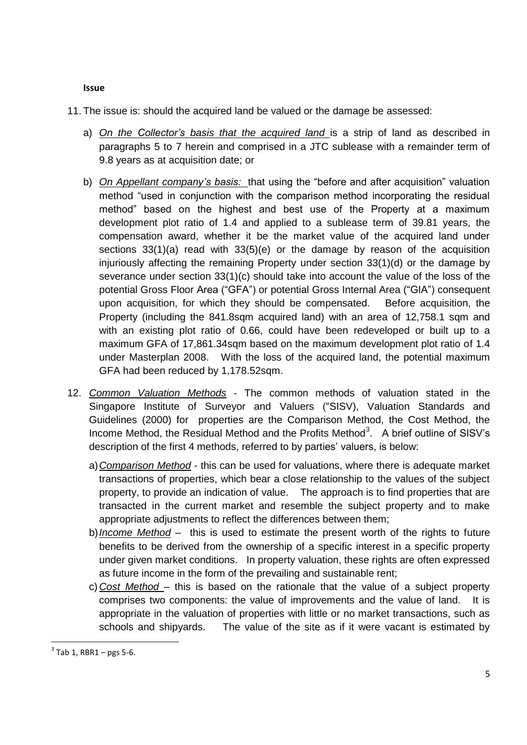#### **Issue**

- 11. The issue is: should the acquired land be valued or the damage be assessed:
	- a) *On the Collector's basis that the acquired land* is a strip of land as described in paragraphs 5 to 7 herein and comprised in a JTC sublease with a remainder term of 9.8 years as at acquisition date; or
	- b) *On Appellant company's basis:* that using the "before and after acquisition" valuation method "used in conjunction with the comparison method incorporating the residual method" based on the highest and best use of the Property at a maximum development plot ratio of 1.4 and applied to a sublease term of 39.81 years, the compensation award, whether it be the market value of the acquired land under sections 33(1)(a) read with 33(5)(e) or the damage by reason of the acquisition injuriously affecting the remaining Property under section 33(1)(d) or the damage by severance under section 33(1)(c) should take into account the value of the loss of the potential Gross Floor Area ("GFA") or potential Gross Internal Area ("GIA") consequent upon acquisition, for which they should be compensated. Before acquisition, the Property (including the 841.8sqm acquired land) with an area of 12,758.1 sqm and with an existing plot ratio of 0.66, could have been redeveloped or built up to a maximum GFA of 17,861.34sqm based on the maximum development plot ratio of 1.4 under Masterplan 2008. With the loss of the acquired land, the potential maximum GFA had been reduced by 1,178.52sqm.
- 12. *Common Valuation Methods* The common methods of valuation stated in the Singapore Institute of Surveyor and Valuers ("SISV), Valuation Standards and Guidelines (2000) for properties are the Comparison Method, the Cost Method, the Income Method, the Residual Method and the Profits Method<sup>3</sup>. A brief outline of SISV's description of the first 4 methods, referred to by parties' valuers, is below:
	- a)*Comparison Method* this can be used for valuations, where there is adequate market transactions of properties, which bear a close relationship to the values of the subject property, to provide an indication of value. The approach is to find properties that are transacted in the current market and resemble the subject property and to make appropriate adjustments to reflect the differences between them;
	- b)*Income Method* this is used to estimate the present worth of the rights to future benefits to be derived from the ownership of a specific interest in a specific property under given market conditions. In property valuation, these rights are often expressed as future income in the form of the prevailing and sustainable rent;
	- c) *Cost Method*  this is based on the rationale that the value of a subject property comprises two components: the value of improvements and the value of land. It is appropriate in the valuation of properties with little or no market transactions, such as schools and shipyards. The value of the site as if it were vacant is estimated by

 $3$  Tab 1, RBR1 – pgs 5-6.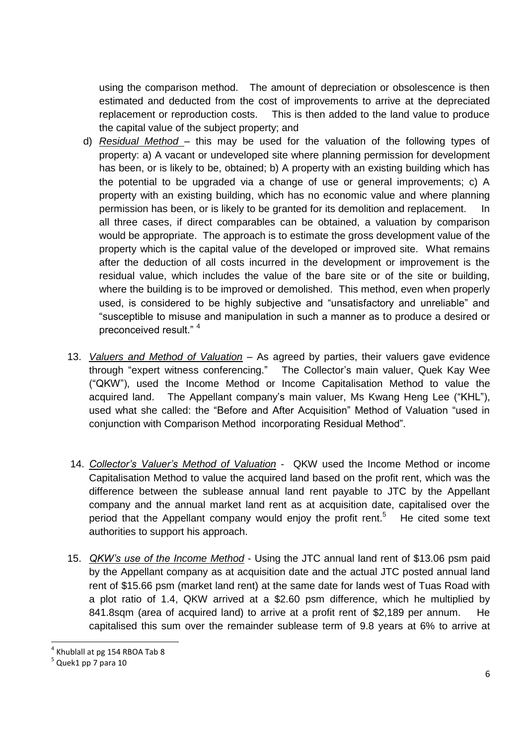using the comparison method. The amount of depreciation or obsolescence is then estimated and deducted from the cost of improvements to arrive at the depreciated replacement or reproduction costs. This is then added to the land value to produce the capital value of the subject property; and

- d) *Residual Method*  this may be used for the valuation of the following types of property: a) A vacant or undeveloped site where planning permission for development has been, or is likely to be, obtained; b) A property with an existing building which has the potential to be upgraded via a change of use or general improvements; c) A property with an existing building, which has no economic value and where planning permission has been, or is likely to be granted for its demolition and replacement. In all three cases, if direct comparables can be obtained, a valuation by comparison would be appropriate. The approach is to estimate the gross development value of the property which is the capital value of the developed or improved site. What remains after the deduction of all costs incurred in the development or improvement is the residual value, which includes the value of the bare site or of the site or building, where the building is to be improved or demolished. This method, even when properly used, is considered to be highly subjective and "unsatisfactory and unreliable" and "susceptible to misuse and manipulation in such a manner as to produce a desired or preconceived result." <sup>4</sup>
- 13. *Valuers and Method of Valuation* As agreed by parties, their valuers gave evidence through "expert witness conferencing." The Collector's main valuer, Quek Kay Wee ("QKW"), used the Income Method or Income Capitalisation Method to value the acquired land. The Appellant company's main valuer, Ms Kwang Heng Lee ("KHL"), used what she called: the "Before and After Acquisition" Method of Valuation "used in conjunction with Comparison Method incorporating Residual Method".
- 14. *Collector's Valuer's Method of Valuation* QKW used the Income Method or income Capitalisation Method to value the acquired land based on the profit rent, which was the difference between the sublease annual land rent payable to JTC by the Appellant company and the annual market land rent as at acquisition date, capitalised over the period that the Appellant company would enjoy the profit rent.<sup>5</sup> He cited some text authorities to support his approach.
- 15. *QKW's use of the Income Method* Using the JTC annual land rent of \$13.06 psm paid by the Appellant company as at acquisition date and the actual JTC posted annual land rent of \$15.66 psm (market land rent) at the same date for lands west of Tuas Road with a plot ratio of 1.4, QKW arrived at a \$2.60 psm difference, which he multiplied by 841.8sqm (area of acquired land) to arrive at a profit rent of \$2,189 per annum. He capitalised this sum over the remainder sublease term of 9.8 years at 6% to arrive at

 $<sup>4</sup>$  Khublall at pg 154 RBOA Tab 8</sup>

<sup>&</sup>lt;sup>5</sup> Quek1 pp 7 para 10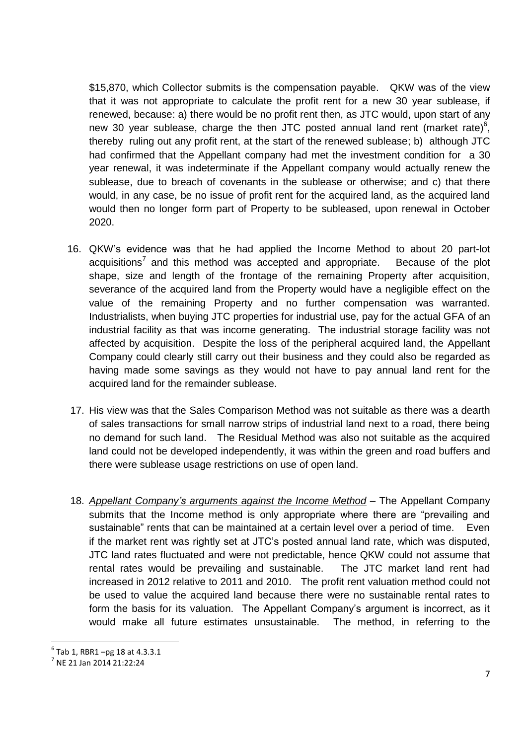\$15,870, which Collector submits is the compensation payable. QKW was of the view that it was not appropriate to calculate the profit rent for a new 30 year sublease, if renewed, because: a) there would be no profit rent then, as JTC would, upon start of any new 30 year sublease, charge the then JTC posted annual land rent (market rate) $^{6}$ , thereby ruling out any profit rent, at the start of the renewed sublease; b) although JTC had confirmed that the Appellant company had met the investment condition for a 30 year renewal, it was indeterminate if the Appellant company would actually renew the sublease, due to breach of covenants in the sublease or otherwise; and c) that there would, in any case, be no issue of profit rent for the acquired land, as the acquired land would then no longer form part of Property to be subleased, upon renewal in October 2020.

- 16. QKW's evidence was that he had applied the Income Method to about 20 part-lot acquisitions<sup>7</sup> and this method was accepted and appropriate. Because of the plot shape, size and length of the frontage of the remaining Property after acquisition, severance of the acquired land from the Property would have a negligible effect on the value of the remaining Property and no further compensation was warranted. Industrialists, when buying JTC properties for industrial use, pay for the actual GFA of an industrial facility as that was income generating. The industrial storage facility was not affected by acquisition. Despite the loss of the peripheral acquired land, the Appellant Company could clearly still carry out their business and they could also be regarded as having made some savings as they would not have to pay annual land rent for the acquired land for the remainder sublease.
- 17. His view was that the Sales Comparison Method was not suitable as there was a dearth of sales transactions for small narrow strips of industrial land next to a road, there being no demand for such land. The Residual Method was also not suitable as the acquired land could not be developed independently, it was within the green and road buffers and there were sublease usage restrictions on use of open land.
- 18. *Appellant Company's arguments against the Income Method* The Appellant Company submits that the Income method is only appropriate where there are "prevailing and sustainable" rents that can be maintained at a certain level over a period of time. Even if the market rent was rightly set at JTC's posted annual land rate, which was disputed, JTC land rates fluctuated and were not predictable, hence QKW could not assume that rental rates would be prevailing and sustainable. The JTC market land rent had increased in 2012 relative to 2011 and 2010. The profit rent valuation method could not be used to value the acquired land because there were no sustainable rental rates to form the basis for its valuation. The Appellant Company's argument is incorrect, as it would make all future estimates unsustainable. The method, in referring to the

 $^6$  Tab 1, RBR1 -pg 18 at 4.3.3.1

<sup>&</sup>lt;sup>7</sup> NE 21 Jan 2014 21:22:24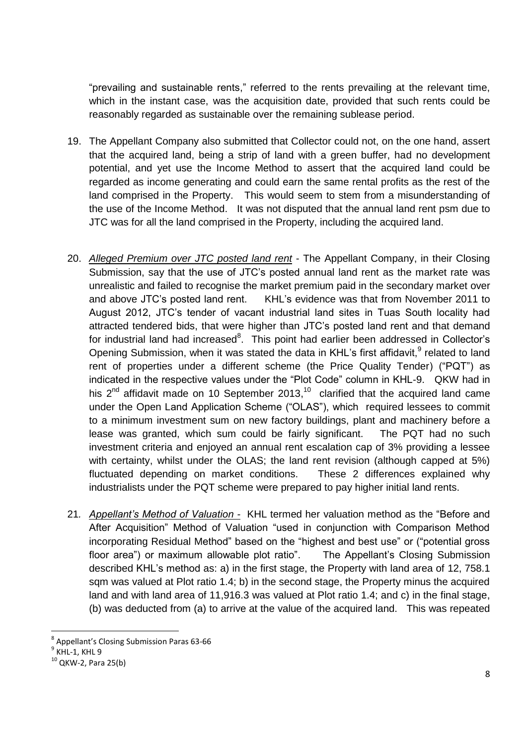"prevailing and sustainable rents," referred to the rents prevailing at the relevant time, which in the instant case, was the acquisition date, provided that such rents could be reasonably regarded as sustainable over the remaining sublease period.

- 19. The Appellant Company also submitted that Collector could not, on the one hand, assert that the acquired land, being a strip of land with a green buffer, had no development potential, and yet use the Income Method to assert that the acquired land could be regarded as income generating and could earn the same rental profits as the rest of the land comprised in the Property. This would seem to stem from a misunderstanding of the use of the Income Method. It was not disputed that the annual land rent psm due to JTC was for all the land comprised in the Property, including the acquired land.
- 20. *Alleged Premium over JTC posted land rent* The Appellant Company, in their Closing Submission, say that the use of JTC's posted annual land rent as the market rate was unrealistic and failed to recognise the market premium paid in the secondary market over and above JTC's posted land rent. KHL's evidence was that from November 2011 to August 2012, JTC's tender of vacant industrial land sites in Tuas South locality had attracted tendered bids, that were higher than JTC's posted land rent and that demand for industrial land had increased<sup>8</sup>. This point had earlier been addressed in Collector's Opening Submission, when it was stated the data in KHL's first affidavit, <sup>9</sup> related to land rent of properties under a different scheme (the Price Quality Tender) ("PQT") as indicated in the respective values under the "Plot Code" column in KHL-9. QKW had in his  $2^{nd}$  affidavit made on 10 September 2013,<sup>10</sup> clarified that the acquired land came under the Open Land Application Scheme ("OLAS"), which required lessees to commit to a minimum investment sum on new factory buildings, plant and machinery before a lease was granted, which sum could be fairly significant. The PQT had no such investment criteria and enjoyed an annual rent escalation cap of 3% providing a lessee with certainty, whilst under the OLAS; the land rent revision (although capped at 5%) fluctuated depending on market conditions. These 2 differences explained why industrialists under the PQT scheme were prepared to pay higher initial land rents.
- 21*. Appellant's Method of Valuation -* KHL termed her valuation method as the "Before and After Acquisition" Method of Valuation "used in conjunction with Comparison Method incorporating Residual Method" based on the "highest and best use" or ("potential gross floor area") or maximum allowable plot ratio". The Appellant's Closing Submission described KHL's method as: a) in the first stage, the Property with land area of 12, 758.1 sqm was valued at Plot ratio 1.4; b) in the second stage, the Property minus the acquired land and with land area of 11,916.3 was valued at Plot ratio 1.4; and c) in the final stage, (b) was deducted from (a) to arrive at the value of the acquired land. This was repeated

<sup>8</sup> Appellant's Closing Submission Paras 63-66

 $^9$  KHL-1, KHL 9

 $10$  QKW-2, Para 25(b)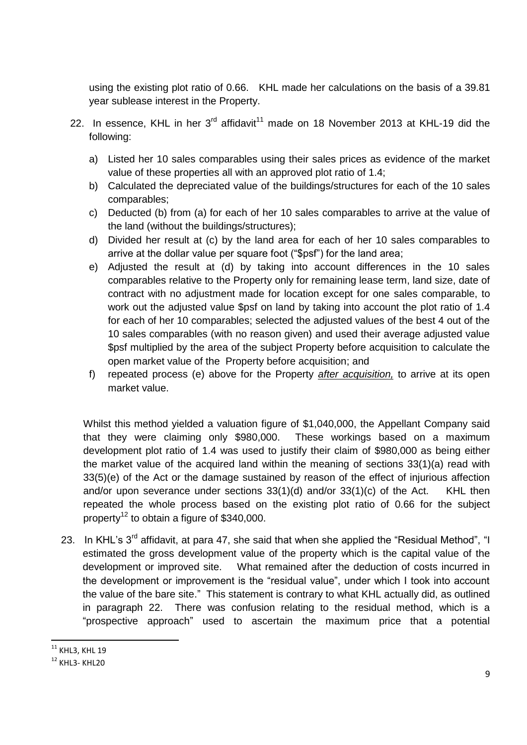using the existing plot ratio of 0.66. KHL made her calculations on the basis of a 39.81 year sublease interest in the Property.

- 22. In essence, KHL in her  $3^{rd}$  affidavit<sup>11</sup> made on 18 November 2013 at KHL-19 did the following:
	- a) Listed her 10 sales comparables using their sales prices as evidence of the market value of these properties all with an approved plot ratio of 1.4;
	- b) Calculated the depreciated value of the buildings/structures for each of the 10 sales comparables;
	- c) Deducted (b) from (a) for each of her 10 sales comparables to arrive at the value of the land (without the buildings/structures);
	- d) Divided her result at (c) by the land area for each of her 10 sales comparables to arrive at the dollar value per square foot ("\$psf") for the land area;
	- e) Adjusted the result at (d) by taking into account differences in the 10 sales comparables relative to the Property only for remaining lease term, land size, date of contract with no adjustment made for location except for one sales comparable, to work out the adjusted value \$psf on land by taking into account the plot ratio of 1.4 for each of her 10 comparables; selected the adjusted values of the best 4 out of the 10 sales comparables (with no reason given) and used their average adjusted value \$psf multiplied by the area of the subject Property before acquisition to calculate the open market value of the Property before acquisition; and
	- f) repeated process (e) above for the Property *after acquisition,* to arrive at its open market value.

Whilst this method yielded a valuation figure of \$1,040,000, the Appellant Company said that they were claiming only \$980,000. These workings based on a maximum development plot ratio of 1.4 was used to justify their claim of \$980,000 as being either the market value of the acquired land within the meaning of sections 33(1)(a) read with 33(5)(e) of the Act or the damage sustained by reason of the effect of injurious affection and/or upon severance under sections 33(1)(d) and/or 33(1)(c) of the Act. KHL then repeated the whole process based on the existing plot ratio of 0.66 for the subject property<sup>12</sup> to obtain a figure of \$340,000.

23. In KHL's 3<sup>rd</sup> affidavit, at para 47, she said that when she applied the "Residual Method", "I estimated the gross development value of the property which is the capital value of the development or improved site. What remained after the deduction of costs incurred in the development or improvement is the "residual value", under which I took into account the value of the bare site." This statement is contrary to what KHL actually did, as outlined in paragraph 22. There was confusion relating to the residual method, which is a "prospective approach" used to ascertain the maximum price that a potential

 $^{11}$  KHL3, KHL 19

<sup>12</sup> KHL3- KHL20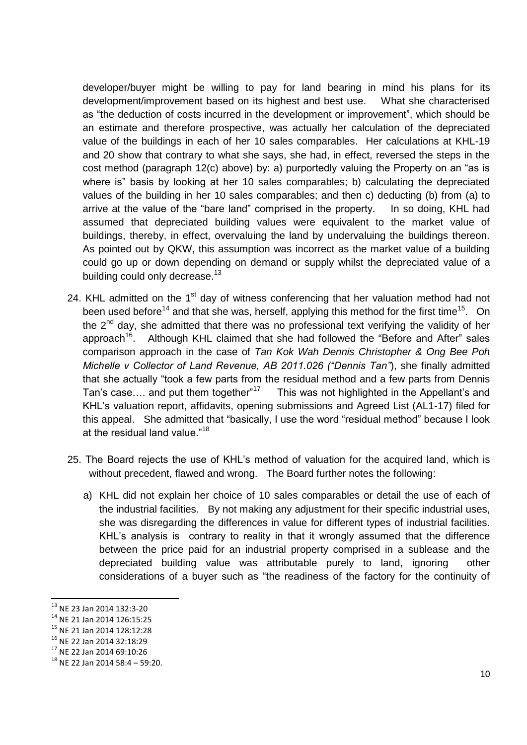developer/buyer might be willing to pay for land bearing in mind his plans for its development/improvement based on its highest and best use. What she characterised as "the deduction of costs incurred in the development or improvement", which should be an estimate and therefore prospective, was actually her calculation of the depreciated value of the buildings in each of her 10 sales comparables. Her calculations at KHL-19 and 20 show that contrary to what she says, she had, in effect, reversed the steps in the cost method (paragraph 12(c) above) by: a) purportedly valuing the Property on an "as is where is" basis by looking at her 10 sales comparables; b) calculating the depreciated values of the building in her 10 sales comparables; and then c) deducting (b) from (a) to arrive at the value of the "bare land" comprised in the property. In so doing, KHL had assumed that depreciated building values were equivalent to the market value of buildings, thereby, in effect, overvaluing the land by undervaluing the buildings thereon. As pointed out by QKW, this assumption was incorrect as the market value of a building could go up or down depending on demand or supply whilst the depreciated value of a building could only decrease. $^{13}$ 

- 24. KHL admitted on the  $1<sup>st</sup>$  day of witness conferencing that her valuation method had not been used before<sup>14</sup> and that she was, herself, applying this method for the first time<sup>15</sup>. On the  $2<sup>nd</sup>$  day, she admitted that there was no professional text verifying the validity of her approach<sup>16</sup>. Although KHL claimed that she had followed the "Before and After" sales comparison approach in the case of *Tan Kok Wah Dennis Christopher & Ong Bee Poh Michelle v Collector of Land Revenue, AB 2011.026 ("Dennis Tan"*), she finally admitted that she actually "took a few parts from the residual method and a few parts from Dennis Tan's case.... and put them together"<sup>17</sup> This was not highlighted in the Appellant's and KHL's valuation report, affidavits, opening submissions and Agreed List (AL1-17) filed for this appeal. She admitted that "basically, I use the word "residual method" because I look at the residual land value."<sup>18</sup>
- 25. The Board rejects the use of KHL's method of valuation for the acquired land, which is without precedent, flawed and wrong. The Board further notes the following:
	- a) KHL did not explain her choice of 10 sales comparables or detail the use of each of the industrial facilities. By not making any adjustment for their specific industrial uses, she was disregarding the differences in value for different types of industrial facilities. KHL's analysis is contrary to reality in that it wrongly assumed that the difference between the price paid for an industrial property comprised in a sublease and the depreciated building value was attributable purely to land, ignoring other considerations of a buyer such as "the readiness of the factory for the continuity of

<sup>13</sup> NE 23 Jan 2014 132:3-20

<sup>14</sup> NE 21 Jan 2014 126:15:25

<sup>15</sup> NE 21 Jan 2014 128:12:28

<sup>16</sup> NE 22 Jan 2014 32:18:29

<sup>17</sup> NE 22 Jan 2014 69:10:26

<sup>18</sup> NE 22 Jan 2014 58:4 – 59:20.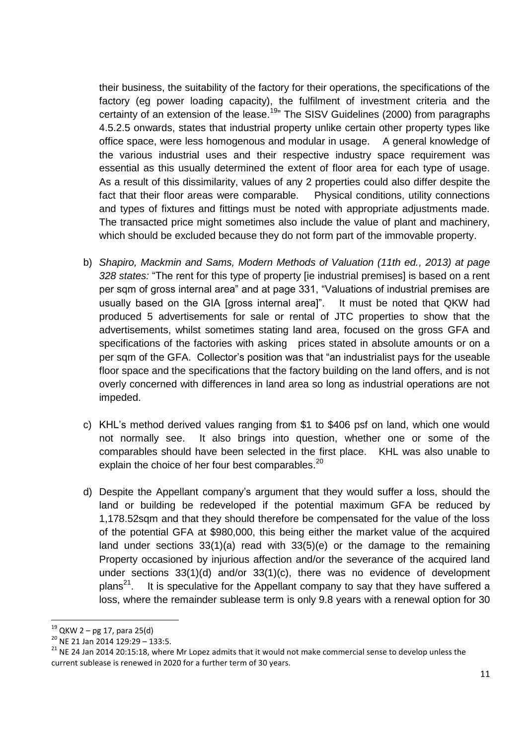their business, the suitability of the factory for their operations, the specifications of the factory (eg power loading capacity), the fulfilment of investment criteria and the certainty of an extension of the lease.<sup>19</sup>" The SISV Guidelines (2000) from paragraphs 4.5.2.5 onwards, states that industrial property unlike certain other property types like office space, were less homogenous and modular in usage. A general knowledge of the various industrial uses and their respective industry space requirement was essential as this usually determined the extent of floor area for each type of usage. As a result of this dissimilarity, values of any 2 properties could also differ despite the fact that their floor areas were comparable. Physical conditions, utility connections and types of fixtures and fittings must be noted with appropriate adjustments made. The transacted price might sometimes also include the value of plant and machinery, which should be excluded because they do not form part of the immovable property.

- b) *Shapiro, Mackmin and Sams, Modern Methods of Valuation (11th ed., 2013) at page 328 states:* "The rent for this type of property [ie industrial premises] is based on a rent per sqm of gross internal area" and at page 331, "Valuations of industrial premises are usually based on the GIA [gross internal area]". It must be noted that QKW had produced 5 advertisements for sale or rental of JTC properties to show that the advertisements, whilst sometimes stating land area, focused on the gross GFA and specifications of the factories with asking prices stated in absolute amounts or on a per sqm of the GFA. Collector's position was that "an industrialist pays for the useable floor space and the specifications that the factory building on the land offers, and is not overly concerned with differences in land area so long as industrial operations are not impeded.
- c) KHL's method derived values ranging from \$1 to \$406 psf on land, which one would not normally see. It also brings into question, whether one or some of the comparables should have been selected in the first place. KHL was also unable to explain the choice of her four best comparables. $^{20}$
- d) Despite the Appellant company's argument that they would suffer a loss, should the land or building be redeveloped if the potential maximum GFA be reduced by 1,178.52sqm and that they should therefore be compensated for the value of the loss of the potential GFA at \$980,000, this being either the market value of the acquired land under sections 33(1)(a) read with 33(5)(e) or the damage to the remaining Property occasioned by injurious affection and/or the severance of the acquired land under sections 33(1)(d) and/or 33(1)(c), there was no evidence of development  $plan<sup>21</sup>$ . . It is speculative for the Appellant company to say that they have suffered a loss, where the remainder sublease term is only 9.8 years with a renewal option for 30

 $19$  QKW 2 – pg 17, para 25(d)

 $20$  NE 21 Jan 2014 129:29 - 133:5.

 $21$  NE 24 Jan 2014 20:15:18, where Mr Lopez admits that it would not make commercial sense to develop unless the current sublease is renewed in 2020 for a further term of 30 years.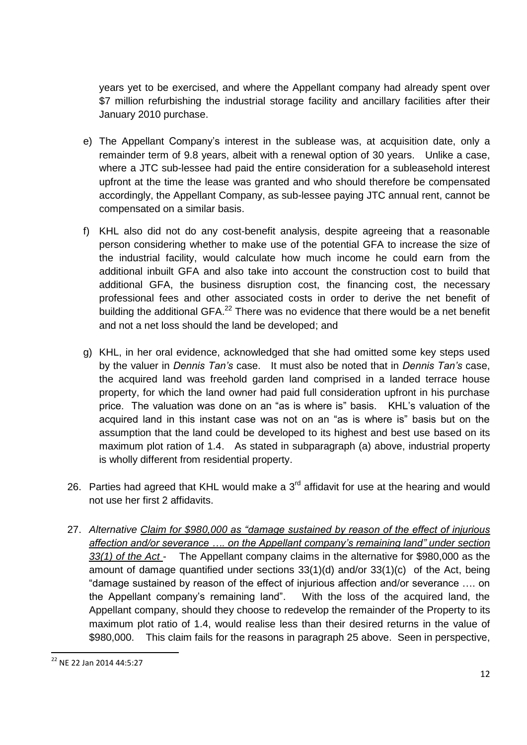years yet to be exercised, and where the Appellant company had already spent over \$7 million refurbishing the industrial storage facility and ancillary facilities after their January 2010 purchase.

- e) The Appellant Company's interest in the sublease was, at acquisition date, only a remainder term of 9.8 years, albeit with a renewal option of 30 years. Unlike a case, where a JTC sub-lessee had paid the entire consideration for a subleasehold interest upfront at the time the lease was granted and who should therefore be compensated accordingly, the Appellant Company, as sub-lessee paying JTC annual rent, cannot be compensated on a similar basis.
- f) KHL also did not do any cost-benefit analysis, despite agreeing that a reasonable person considering whether to make use of the potential GFA to increase the size of the industrial facility, would calculate how much income he could earn from the additional inbuilt GFA and also take into account the construction cost to build that additional GFA, the business disruption cost, the financing cost, the necessary professional fees and other associated costs in order to derive the net benefit of building the additional GFA. $^{22}$  There was no evidence that there would be a net benefit and not a net loss should the land be developed; and
- g) KHL, in her oral evidence, acknowledged that she had omitted some key steps used by the valuer in *Dennis Tan's* case. It must also be noted that in *Dennis Tan's* case, the acquired land was freehold garden land comprised in a landed terrace house property, for which the land owner had paid full consideration upfront in his purchase price. The valuation was done on an "as is where is" basis. KHL's valuation of the acquired land in this instant case was not on an "as is where is" basis but on the assumption that the land could be developed to its highest and best use based on its maximum plot ration of 1.4. As stated in subparagraph (a) above, industrial property is wholly different from residential property.
- 26. Parties had agreed that KHL would make a  $3<sup>rd</sup>$  affidavit for use at the hearing and would not use her first 2 affidavits.
- 27. *Alternative Claim for \$980,000 as "damage sustained by reason of the effect of injurious affection and/or severance …. on the Appellant company's remaining land" under section 33(1) of the Act* - The Appellant company claims in the alternative for \$980,000 as the amount of damage quantified under sections 33(1)(d) and/or 33(1)(c) of the Act, being "damage sustained by reason of the effect of injurious affection and/or severance …. on the Appellant company's remaining land". With the loss of the acquired land, the Appellant company, should they choose to redevelop the remainder of the Property to its maximum plot ratio of 1.4, would realise less than their desired returns in the value of \$980,000. This claim fails for the reasons in paragraph 25 above. Seen in perspective,

<sup>&</sup>lt;sup>22</sup> NE 22 Jan 2014 44:5:27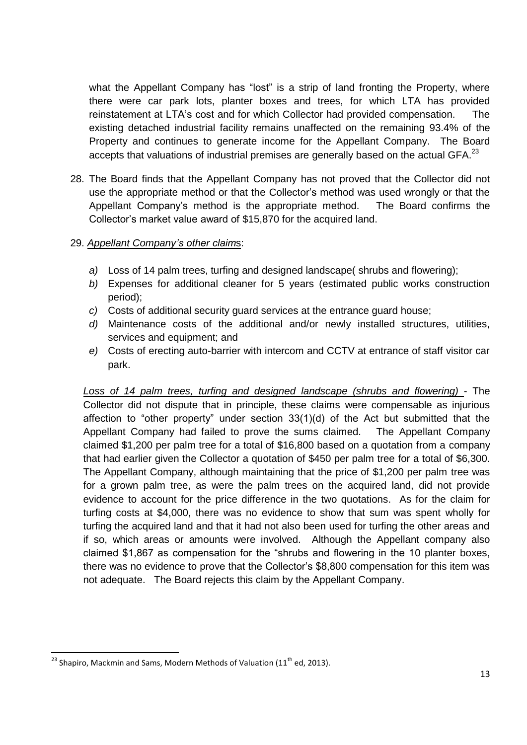what the Appellant Company has "lost" is a strip of land fronting the Property, where there were car park lots, planter boxes and trees, for which LTA has provided reinstatement at LTA's cost and for which Collector had provided compensation. The existing detached industrial facility remains unaffected on the remaining 93.4% of the Property and continues to generate income for the Appellant Company. The Board accepts that valuations of industrial premises are generally based on the actual GFA. $^{23}$ 

28. The Board finds that the Appellant Company has not proved that the Collector did not use the appropriate method or that the Collector's method was used wrongly or that the Appellant Company's method is the appropriate method. The Board confirms the Collector's market value award of \$15,870 for the acquired land.

#### 29. *Appellant Company's other claim*s:

- *a)* Loss of 14 palm trees, turfing and designed landscape( shrubs and flowering);
- *b)* Expenses for additional cleaner for 5 years (estimated public works construction period);
- *c)* Costs of additional security guard services at the entrance guard house;
- *d)* Maintenance costs of the additional and/or newly installed structures, utilities, services and equipment; and
- *e)* Costs of erecting auto-barrier with intercom and CCTV at entrance of staff visitor car park.

*Loss of 14 palm trees, turfing and designed landscape (shrubs and flowering)* - The Collector did not dispute that in principle, these claims were compensable as injurious affection to "other property" under section 33(1)(d) of the Act but submitted that the Appellant Company had failed to prove the sums claimed. The Appellant Company claimed \$1,200 per palm tree for a total of \$16,800 based on a quotation from a company that had earlier given the Collector a quotation of \$450 per palm tree for a total of \$6,300. The Appellant Company, although maintaining that the price of \$1,200 per palm tree was for a grown palm tree, as were the palm trees on the acquired land, did not provide evidence to account for the price difference in the two quotations. As for the claim for turfing costs at \$4,000, there was no evidence to show that sum was spent wholly for turfing the acquired land and that it had not also been used for turfing the other areas and if so, which areas or amounts were involved. Although the Appellant company also claimed \$1,867 as compensation for the "shrubs and flowering in the 10 planter boxes, there was no evidence to prove that the Collector's \$8,800 compensation for this item was not adequate. The Board rejects this claim by the Appellant Company.

<sup>&</sup>lt;sup>23</sup> Shapiro, Mackmin and Sams, Modern Methods of Valuation (11<sup>th</sup> ed, 2013).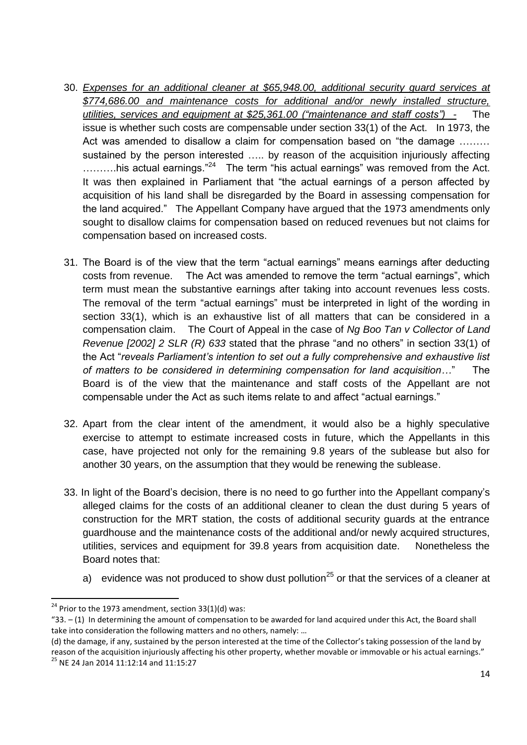- 30. *Expenses for an additional cleaner at \$65,948.00, additional security guard services at \$774,686.00 and maintenance costs for additional and/or newly installed structure, utilities, services and equipment at \$25,361.00 ("maintenance and staff costs") -* The issue is whether such costs are compensable under section 33(1) of the Act. In 1973, the Act was amended to disallow a claim for compensation based on "the damage ……… sustained by the person interested ….. by reason of the acquisition injuriously affecting .........his actual earnings."<sup>24</sup> The term "his actual earnings" was removed from the Act. It was then explained in Parliament that "the actual earnings of a person affected by acquisition of his land shall be disregarded by the Board in assessing compensation for the land acquired." The Appellant Company have argued that the 1973 amendments only sought to disallow claims for compensation based on reduced revenues but not claims for compensation based on increased costs.
- 31. The Board is of the view that the term "actual earnings" means earnings after deducting costs from revenue. The Act was amended to remove the term "actual earnings", which term must mean the substantive earnings after taking into account revenues less costs. The removal of the term "actual earnings" must be interpreted in light of the wording in section 33(1), which is an exhaustive list of all matters that can be considered in a compensation claim. The Court of Appeal in the case of *Ng Boo Tan v Collector of Land Revenue [2002] 2 SLR (R) 633* stated that the phrase "and no others" in section 33(1) of the Act "*reveals Parliament's intention to set out a fully comprehensive and exhaustive list of matters to be considered in determining compensation for land acquisition…*" The Board is of the view that the maintenance and staff costs of the Appellant are not compensable under the Act as such items relate to and affect "actual earnings."
- 32. Apart from the clear intent of the amendment, it would also be a highly speculative exercise to attempt to estimate increased costs in future, which the Appellants in this case, have projected not only for the remaining 9.8 years of the sublease but also for another 30 years, on the assumption that they would be renewing the sublease.
- 33. In light of the Board's decision, there is no need to go further into the Appellant company's alleged claims for the costs of an additional cleaner to clean the dust during 5 years of construction for the MRT station, the costs of additional security guards at the entrance guardhouse and the maintenance costs of the additional and/or newly acquired structures, utilities, services and equipment for 39.8 years from acquisition date. Nonetheless the Board notes that:
	- a) evidence was not produced to show dust pollution<sup>25</sup> or that the services of a cleaner at

<sup>&</sup>lt;sup>24</sup> Prior to the 1973 amendment, section  $33(1)(d)$  was:

 $"33. - (1)$  In determining the amount of compensation to be awarded for land acquired under this Act, the Board shall take into consideration the following matters and no others, namely: …

<sup>(</sup>d) the damage, if any, sustained by the person interested at the time of the Collector's taking possession of the land by reason of the acquisition injuriously affecting his other property, whether movable or immovable or his actual earnings." <sup>25</sup> NE 24 Jan 2014 11:12:14 and 11:15:27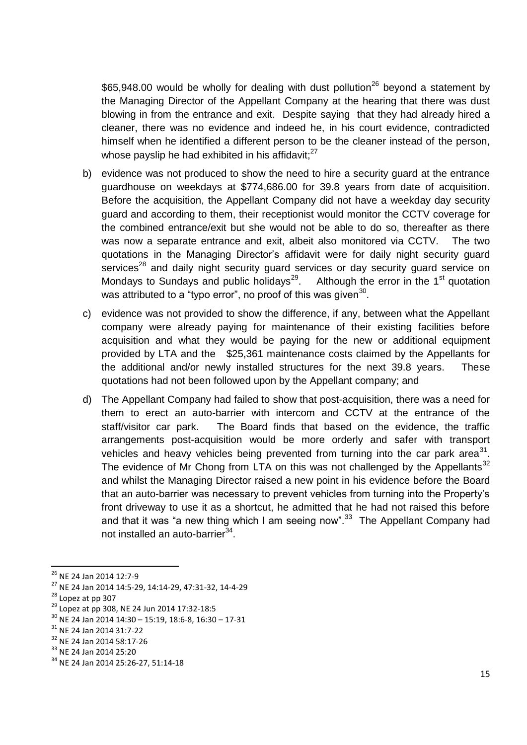\$65,948.00 would be wholly for dealing with dust pollution<sup>26</sup> beyond a statement by the Managing Director of the Appellant Company at the hearing that there was dust blowing in from the entrance and exit. Despite saying that they had already hired a cleaner, there was no evidence and indeed he, in his court evidence, contradicted himself when he identified a different person to be the cleaner instead of the person, whose payslip he had exhibited in his affidavit; $^{27}$ 

- b) evidence was not produced to show the need to hire a security guard at the entrance guardhouse on weekdays at \$774,686.00 for 39.8 years from date of acquisition. Before the acquisition, the Appellant Company did not have a weekday day security guard and according to them, their receptionist would monitor the CCTV coverage for the combined entrance/exit but she would not be able to do so, thereafter as there was now a separate entrance and exit, albeit also monitored via CCTV. The two quotations in the Managing Director's affidavit were for daily night security guard services<sup>28</sup> and daily night security quard services or day security guard service on Mondays to Sundays and public holidays<sup>29</sup>. Although the error in the 1<sup>st</sup> quotation was attributed to a "typo error", no proof of this was given<sup>30</sup>.
- c) evidence was not provided to show the difference, if any, between what the Appellant company were already paying for maintenance of their existing facilities before acquisition and what they would be paying for the new or additional equipment provided by LTA and the \$25,361 maintenance costs claimed by the Appellants for the additional and/or newly installed structures for the next 39.8 years. These quotations had not been followed upon by the Appellant company; and
- d) The Appellant Company had failed to show that post-acquisition, there was a need for them to erect an auto-barrier with intercom and CCTV at the entrance of the staff/visitor car park. The Board finds that based on the evidence, the traffic arrangements post-acquisition would be more orderly and safer with transport vehicles and heavy vehicles being prevented from turning into the car park area $^{31}$ . The evidence of Mr Chong from LTA on this was not challenged by the Appellants<sup>32</sup> and whilst the Managing Director raised a new point in his evidence before the Board that an auto-barrier was necessary to prevent vehicles from turning into the Property's front driveway to use it as a shortcut, he admitted that he had not raised this before and that it was "a new thing which I am seeing now". $33$  The Appellant Company had not installed an auto-barrier<sup>34</sup>.

<sup>&</sup>lt;sup>26</sup> NE 24 Jan 2014 12:7-9

<sup>27</sup> NE 24 Jan 2014 14:5-29, 14:14-29, 47:31-32, 14-4-29

<sup>&</sup>lt;sup>28</sup> Lopez at pp 307

<sup>29</sup> Lopez at pp 308, NE 24 Jun 2014 17:32-18:5

<sup>30</sup> NE 24 Jan 2014 14:30 – 15:19, 18:6-8, 16:30 – 17-31

<sup>31</sup> NE 24 Jan 2014 31:7-22

<sup>32</sup> NE 24 Jan 2014 58:17-26

<sup>&</sup>lt;sup>33</sup> NE 24 Jan 2014 25:20

<sup>&</sup>lt;sup>34</sup> NE 24 Jan 2014 25:26-27, 51:14-18